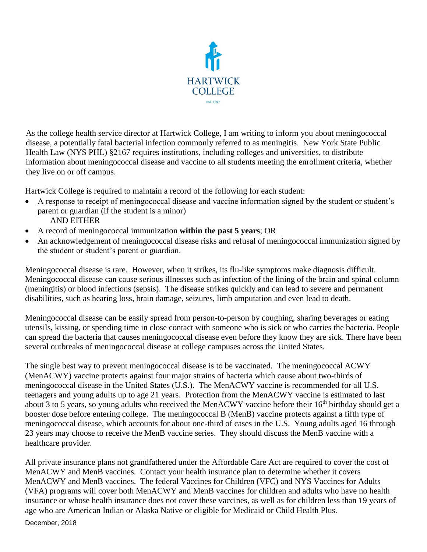

As the college health service director at Hartwick College, I am writing to inform you about meningococcal disease, a potentially fatal bacterial infection commonly referred to as meningitis. New York State Public Health Law (NYS PHL) §2167 requires institutions, including colleges and universities, to distribute information about meningococcal disease and vaccine to all students meeting the enrollment criteria, whether they live on or off campus.

Hartwick College is required to maintain a record of the following for each student:

- A response to receipt of meningococcal disease and vaccine information signed by the student or student's parent or guardian (if the student is a minor) AND EITHER
- A record of meningococcal immunization **within the past 5 years**; OR
- An acknowledgement of meningococcal disease risks and refusal of meningococcal immunization signed by the student or student's parent or guardian.

Meningococcal disease is rare. However, when it strikes, its flu-like symptoms make diagnosis difficult. Meningococcal disease can cause serious illnesses such as infection of the lining of the brain and spinal column (meningitis) or blood infections (sepsis). The disease strikes quickly and can lead to severe and permanent disabilities, such as hearing loss, brain damage, seizures, limb amputation and even lead to death.

Meningococcal disease can be easily spread from person-to-person by coughing, sharing beverages or eating utensils, kissing, or spending time in close contact with someone who is sick or who carries the bacteria. People can spread the bacteria that causes meningococcal disease even before they know they are sick. There have been several outbreaks of meningococcal disease at college campuses across the United States.

The single best way to prevent meningococcal disease is to be vaccinated. The meningococcal ACWY (MenACWY) vaccine protects against four major strains of bacteria which cause about two-thirds of meningococcal disease in the United States (U.S.). The MenACWY vaccine is recommended for all U.S. teenagers and young adults up to age 21 years. Protection from the MenACWY vaccine is estimated to last about 3 to 5 years, so young adults who received the MenACWY vaccine before their 16<sup>th</sup> birthday should get a booster dose before entering college. The meningococcal B (MenB) vaccine protects against a fifth type of meningococcal disease, which accounts for about one-third of cases in the U.S. Young adults aged 16 through 23 years may choose to receive the MenB vaccine series. They should discuss the MenB vaccine with a healthcare provider.

All private insurance plans not grandfathered under the Affordable Care Act are required to cover the cost of MenACWY and MenB vaccines. Contact your health insurance plan to determine whether it covers MenACWY and MenB vaccines. The federal Vaccines for Children (VFC) and NYS Vaccines for Adults (VFA) programs will cover both MenACWY and MenB vaccines for children and adults who have no health insurance or whose health insurance does not cover these vaccines, as well as for children less than 19 years of age who are American Indian or Alaska Native or eligible for Medicaid or Child Health Plus.

December, 2018